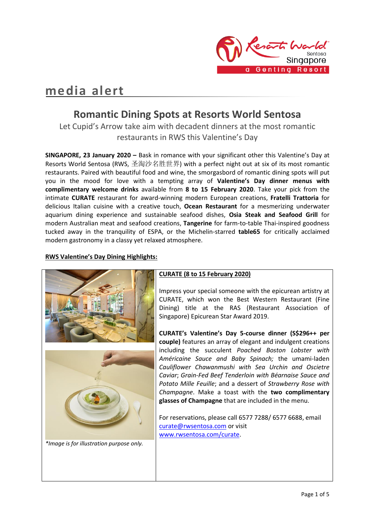

# **media alert**

## **Romantic Dining Spots at Resorts World Sentosa**

Let Cupid's Arrow take aim with decadent dinners at the most romantic restaurants in RWS this Valentine's Day

**SINGAPORE, 23 January 2020 –** Bask in romance with your significant other this Valentine's Day at Resorts World Sentosa (RWS, 圣淘沙名胜世界) with a perfect night out at six of its most romantic restaurants. Paired with beautiful food and wine, the smorgasbord of romantic dining spots will put you in the mood for love with a tempting array of **Valentine's Day dinner menus with complimentary welcome drinks** available from **8 to 15 February 2020**. Take your pick from the intimate **CURATE** restaurant for award-winning modern European creations, **Fratelli Trattoria** for delicious Italian cuisine with a creative touch, **Ocean Restaurant** for a mesmerizing underwater aquarium dining experience and sustainable seafood dishes, **Osia Steak and Seafood Grill** for modern Australian meat and seafood creations, **Tangerine** for farm-to-table Thai-inspired goodness tucked away in the tranquility of ESPA, or the Michelin-starred **table65** for critically acclaimed modern gastronomy in a classy yet relaxed atmosphere.

#### **RWS Valentine's Day Dining Highlights:**

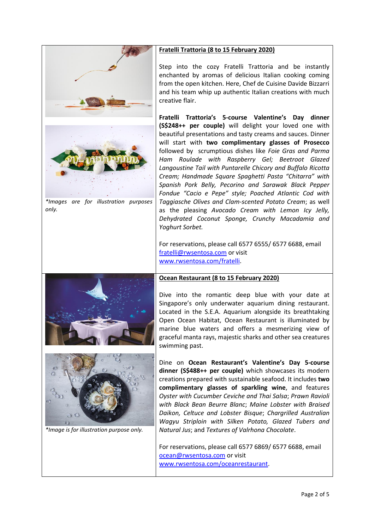

*\*Images are for illustration purposes only.*



*\*Image is for illustration purpose only.*

#### **Fratelli Trattoria (8 to 15 February 2020)**

Step into the cozy Fratelli Trattoria and be instantly enchanted by aromas of delicious Italian cooking coming from the open kitchen. Here, Chef de Cuisine Davide Bizzarri and his team whip up authentic Italian creations with much creative flair.

**Fratelli Trattoria's 5-course Valentine's Day dinner (S\$248++ per couple)** will delight your loved one with beautiful presentations and tasty creams and sauces. Dinner will start with **two complimentary glasses of Prosecco** followed by scrumptious dishes like *Foie Gras and Parma Ham Roulade with Raspberry Gel; Beetroot Glazed Langoustine Tail with Puntarelle Chicory and Buffalo Ricotta Cream; Handmade Square Spaghetti Pasta "Chitarra" with Spanish Pork Belly, Pecorino and Sarawak Black Pepper Fondue "Cacio e Pepe" style; Poached Atlantic Cod with Taggiasche Olives and Clam-scented Potato Cream*; as well as the pleasing *Avocado Cream with Lemon Icy Jelly, Dehydrated Coconut Sponge, Crunchy Macadamia and Yoghurt Sorbet.* 

For reservations, please call 6577 6555/ 6577 6688, email [fratelli@rwsentosa.com](mailto:fratelli@rwsentosa.com) or visit [www.rwsentosa.com/fratelli.](http://www.rwsentosa.com/fratelli)

#### **Ocean Restaurant (8 to 15 February 2020)**

Dive into the romantic deep blue with your date at Singapore's only underwater aquarium dining restaurant. Located in the S.E.A. Aquarium alongside its breathtaking Open Ocean Habitat, Ocean Restaurant is illuminated by marine blue waters and offers a mesmerizing view of graceful manta rays, majestic sharks and other sea creatures swimming past.

Dine on **Ocean Restaurant's Valentine's Day 5-course dinner (S\$488++ per couple)** which showcases its modern creations prepared with sustainable seafood. It includes **two complimentary glasses of sparkling wine**, and features *Oyster with Cucumber Ceviche and Thai Salsa*; *Prawn Ravioli with Black Bean Beurre Blanc*; *Maine Lobster with Braised Daikon, Celtuce and Lobster Bisque*; *Chargrilled Australian Wagyu Striploin with Silken Potato, Glazed Tubers and Natural Jus*; and *Textures of Valrhona Chocolate*.

For reservations, please call 6577 6869/ 6577 6688, email [ocean@rwsentosa.com](mailto:ocean@rwsentosa.com) or visit [www.rwsentosa.com/oceanrestaurant.](http://www.rwsentosa.com/oceanrestaurant)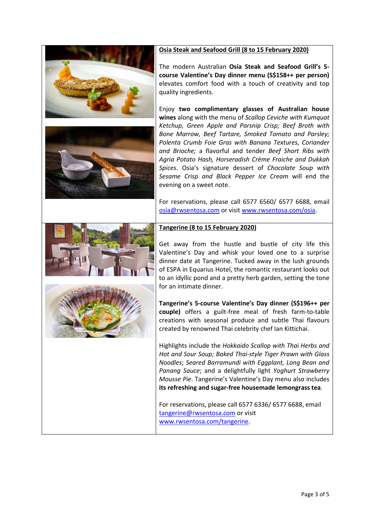#### **Osia Steak and Seafood Grill (8 to 15 February 2020)**





The modern Australian **Osia Steak and Seafood Grill's 5 course Valentine's Day dinner menu (S\$158++ per person)** elevates comfort food with a touch of creativity and top quality ingredients.

Enjoy **two complimentary glasses of Australian house wines** along with the menu of *Scallop Ceviche with Kumquat Ketchup, Green Apple and Parsnip Crisp; Beef Broth with Bone Marrow, Beef Tartare, Smoked Tomato and Parsley; Polenta Crumb Foie Gras with Banana Textures, Coriander and Brioche;* a flavorful and tender *Beef Short Ribs with Agria Potato Hash, Horseradish Crème Fraiche and Dukkah Spices*. Osia's signature dessert of *Chocolate Soup with Sesame Crisp and Black Pepper Ice Cream* will end the evening on a sweet note.

For reservations, please call 6577 6560/ 6577 6688, email [osia@rwsentosa.com](mailto:osia@rwsentosa.com) or visit [www.rwsentosa.com/osia.](http://www.rwsentosa.com/osia)

#### **Tangerine (8 to 15 February 2020)**



Get away from the hustle and bustle of city life this Valentine's Day and whisk your loved one to a surprise dinner date at Tangerine. Tucked away in the lush grounds of ESPA in Equarius Hotel, the romantic restaurant looks out to an idyllic pond and a pretty herb garden, setting the tone for an intimate dinner.

**Tangerine's 5-course Valentine's Day dinner (S\$196++ per couple)** offers a guilt-free meal of fresh farm-to-table creations with seasonal produce and subtle Thai flavours created by renowned Thai celebrity chef Ian Kittichai.

Highlights include the *Hokkaido Scallop with Thai Herbs and Hot and Sour Soup; Baked Thai-style Tiger Prawn with Glass Noodles*; *Seared Barramundi with Eggplant, Long Bean and Panang Sauce*; and a delightfully light *Yoghurt Strawberry Mousse Pie*. Tangerine's Valentine's Day menu also includes **its refreshing and sugar-free housemade lemongrass tea**.

For reservations, please call 6577 6336/ 6577 6688, email [tangerine@rwsentosa.com](mailto:tangerine@rwsentosa.com) or visit [www.rwsentosa.com/tangerine.](http://www.rwsentosa.com/tangerine)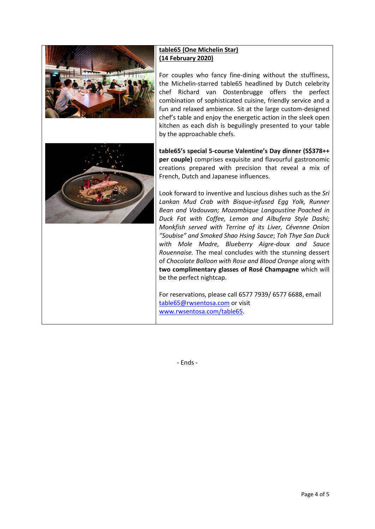



### **table65 (One Michelin Star) (14 February 2020)**

For couples who fancy fine-dining without the stuffiness, the Michelin-starred table65 headlined by Dutch celebrity chef Richard van Oostenbrugge offers the perfect combination of sophisticated cuisine, friendly service and a fun and relaxed ambience. Sit at the large custom-designed chef's table and enjoy the energetic action in the sleek open kitchen as each dish is beguilingly presented to your table by the approachable chefs.

**table65's special 5-course Valentine's Day dinner (S\$378++ per couple)** comprises exquisite and flavourful gastronomic creations prepared with precision that reveal a mix of French, Dutch and Japanese influences.

Look forward to inventive and luscious dishes such as the *Sri Lankan Mud Crab with Bisque-infused Egg Yolk, Runner Bean and Vadouvan; Mozambique Langoustine Poached in Duck Fat with Coffee, Lemon and Albufera Style Dashi; Monkfish served with Terrine of its Liver, Cévenne Onion "Soubise" and Smoked Shao Hsing Sauce*; *Toh Thye San Duck with Mole Madre, Blueberry Aigre-doux and Sauce Rouennaise.* The meal concludes with the stunning dessert of *Chocolate Balloon with Rose and Blood Orange* along with **two complimentary glasses of Rosé Champagne** which will be the perfect nightcap.

For reservations, please call 6577 7939/ 6577 6688, email [table65@rwsentosa.com](mailto:table65@rwsentosa.com) or visit [www.rwsentosa.com/table65.](http://www.rwsentosa.com/table65)

- Ends -